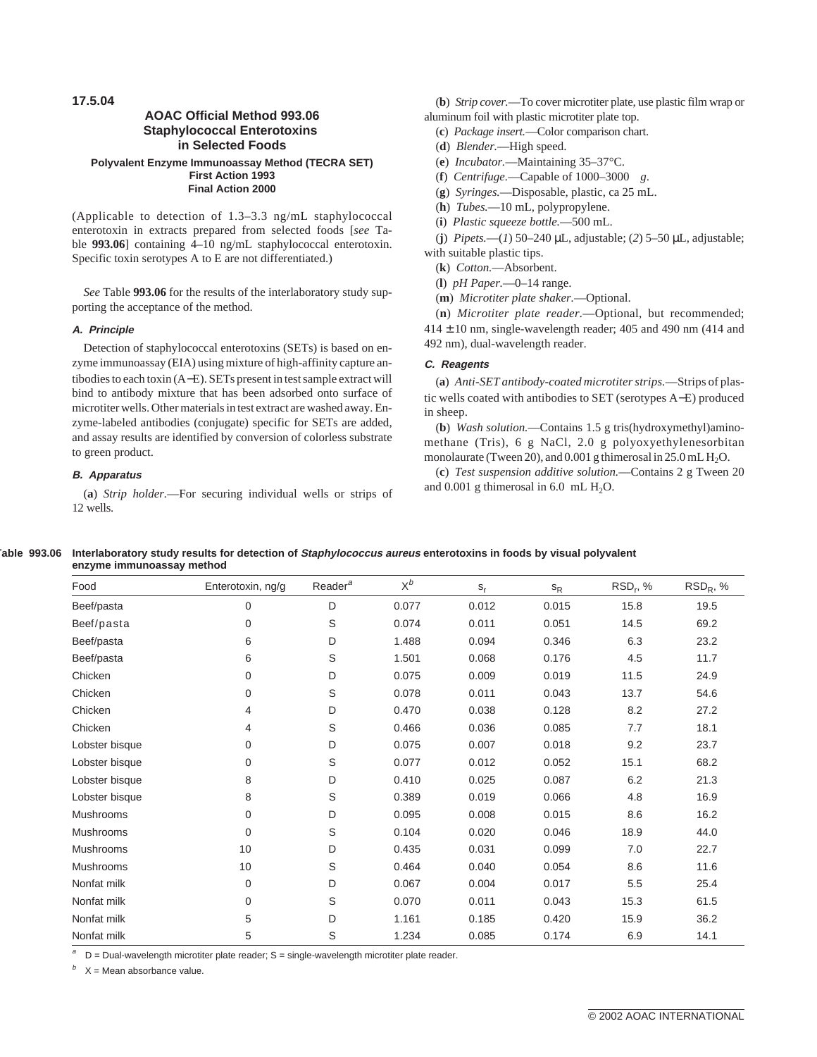**17.5.04**

# **AOAC Official Method 993.06 Staphylococcal Enterotoxins in Selected Foods Polyvalent Enzyme Immunoassay Method (TECRA SET) First Action 1993 Final Action 2000**

(Applicable to detection of 1.3–3.3 ng/mL staphylococcal enterotoxin in extracts prepared from selected foods [*see* Table **993.06**] containing 4–10 ng/mL staphylococcal enterotoxin. Specific toxin serotypes A to E are not differentiated.)

*See* Table **993.06** for the results of the interlaboratory study supporting the acceptance of the method.

# **A. Principle**

Detection of staphylococcal enterotoxins (SETs) is based on enzyme immunoassay (EIA) using mixture of high-affinity capture antibodies to each toxin (A−E). SETs present in test sample extract will bind to antibody mixture that has been adsorbed onto surface of microtiter wells. Other materials in test extract are washed away. Enzyme-labeled antibodies (conjugate) specific for SETs are added, and assay results are identified by conversion of colorless substrate to green product.

# **B. Apparatus**

(**a**) *Strip holder.*—For securing individual wells or strips of 12 wells.

(**b**) *Strip cover.*—To cover microtiter plate, use plastic film wrap or aluminum foil with plastic microtiter plate top.

- (**c**) *Package insert.*—Color comparison chart.
- (**d**) *Blender.*—High speed.
- (**e**) *Incubator.*—Maintaining 35–37°C.
- (**f**) *Centrifuge.*—Capable of 1000–3000 *g*.
- (**g**) *Syringes.*—Disposable, plastic, ca 25 mL.
- (**h**) *Tubes.*—10 mL, polypropylene.
- (**i**) *Plastic squeeze bottle.*—500 mL.

(**j**) *Pipets.*—(*1*) 50–240 µL, adjustable; (*2*) 5–50 µL, adjustable; with suitable plastic tips.

(**k**) *Cotton.*—Absorbent.

(**l**) *pH Paper.*—0–14 range.

(**m**) *Microtiter plate shaker.*—Optional.

(**n**) *Microtiter plate reader.*—Optional, but recommended;  $414 \pm 10$  nm, single-wavelength reader; 405 and 490 nm (414 and 492 nm), dual-wavelength reader.

### **C. Reagents**

(**a**) *Anti-SET antibody-coated microtiter strips.*—Strips of plastic wells coated with antibodies to SET (serotypes A−E) produced in sheep.

(**b**) *Wash solution.*—Contains 1.5 g tris(hydroxymethyl)aminomethane (Tris), 6 g NaCl, 2.0 g polyoxyethylenesorbitan monolaurate (Tween 20), and  $0.001$  g thimerosal in  $25.0$  mL  $H<sub>2</sub>O$ .

(**c**) *Test suspension additive solution.*—Contains 2 g Tween 20 and  $0.001$  g thimerosal in  $6.0$  mL  $H<sub>2</sub>O$ .

| Table 993.06 Interlaboratory study results for detection of Staphylococcus aureus enterotoxins in foods by visual polyvalent<br>enzyme immunoassay method |
|-----------------------------------------------------------------------------------------------------------------------------------------------------------|
|                                                                                                                                                           |

| Food             | Enterotoxin, ng/g | Reader <sup>a</sup> | $X^b$ | $S_r$ | $S_{R}$ | $RSD_r$ , % | $RSD_R$ , % |
|------------------|-------------------|---------------------|-------|-------|---------|-------------|-------------|
| Beef/pasta       | $\mathbf 0$       | D                   | 0.077 | 0.012 | 0.015   | 15.8        | 19.5        |
| Beef/pasta       | 0                 | S                   | 0.074 | 0.011 | 0.051   | 14.5        | 69.2        |
| Beef/pasta       | 6                 | D                   | 1.488 | 0.094 | 0.346   | 6.3         | 23.2        |
| Beef/pasta       | 6                 | S                   | 1.501 | 0.068 | 0.176   | 4.5         | 11.7        |
| Chicken          | 0                 | D                   | 0.075 | 0.009 | 0.019   | 11.5        | 24.9        |
| Chicken          | 0                 | S                   | 0.078 | 0.011 | 0.043   | 13.7        | 54.6        |
| Chicken          | 4                 | D                   | 0.470 | 0.038 | 0.128   | 8.2         | 27.2        |
| Chicken          | 4                 | S                   | 0.466 | 0.036 | 0.085   | 7.7         | 18.1        |
| Lobster bisque   | 0                 | D                   | 0.075 | 0.007 | 0.018   | 9.2         | 23.7        |
| Lobster bisque   | 0                 | S                   | 0.077 | 0.012 | 0.052   | 15.1        | 68.2        |
| Lobster bisque   | 8                 | D                   | 0.410 | 0.025 | 0.087   | 6.2         | 21.3        |
| Lobster bisque   | 8                 | S                   | 0.389 | 0.019 | 0.066   | 4.8         | 16.9        |
| Mushrooms        | 0                 | D                   | 0.095 | 0.008 | 0.015   | 8.6         | 16.2        |
| <b>Mushrooms</b> | 0                 | S                   | 0.104 | 0.020 | 0.046   | 18.9        | 44.0        |
| <b>Mushrooms</b> | 10                | D                   | 0.435 | 0.031 | 0.099   | 7.0         | 22.7        |
| Mushrooms        | 10                | S                   | 0.464 | 0.040 | 0.054   | 8.6         | 11.6        |
| Nonfat milk      | $\mathbf 0$       | D                   | 0.067 | 0.004 | 0.017   | 5.5         | 25.4        |
| Nonfat milk      | $\Omega$          | S                   | 0.070 | 0.011 | 0.043   | 15.3        | 61.5        |
| Nonfat milk      | 5                 | D                   | 1.161 | 0.185 | 0.420   | 15.9        | 36.2        |
| Nonfat milk      | 5                 | S                   | 1.234 | 0.085 | 0.174   | 6.9         | 14.1        |

 $D =$  Dual-wavelength microtiter plate reader;  $S =$  single-wavelength microtiter plate reader.

 $X = M$ ean absorbance value.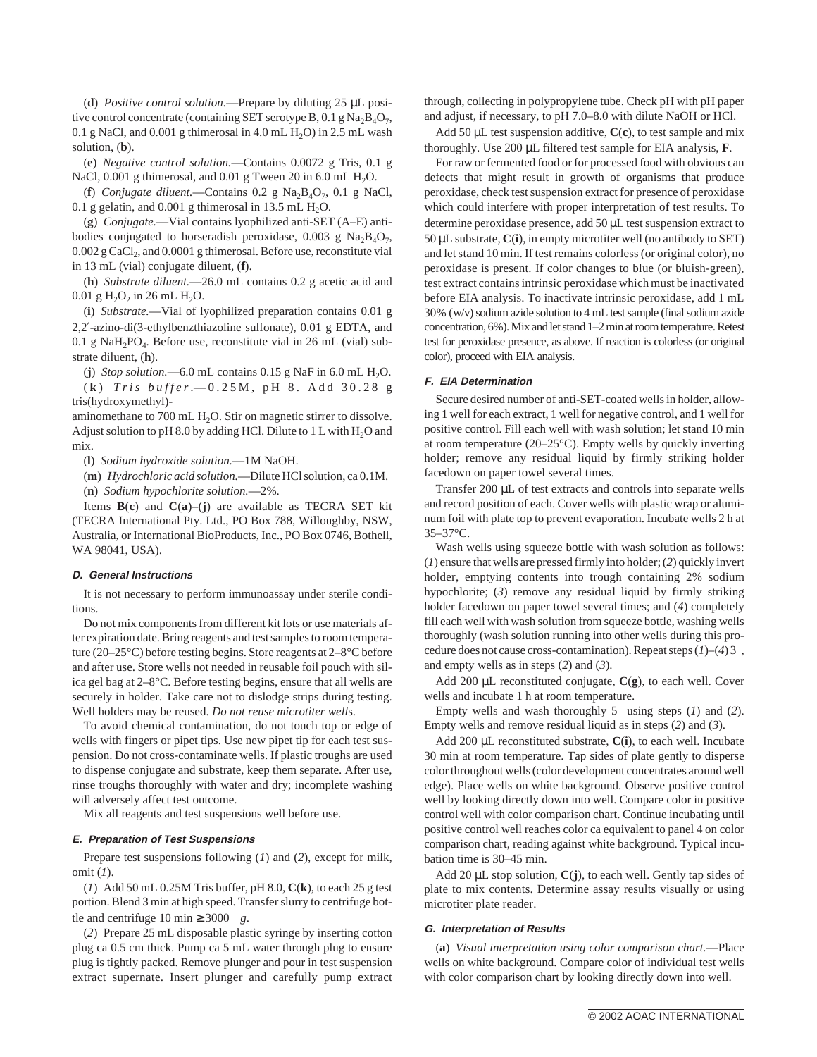(**d**) *Positive control solution.*—Prepare by diluting 25 µL positive control concentrate (containing SET serotype B, 0.1 g  $\text{Na}_2\text{B}_4\text{O}_7$ , 0.1 g NaCl, and 0.001 g thimerosal in 4.0 mL  $H_2O$ ) in 2.5 mL wash solution, (**b**).

(**e**) *Negative control solution.*—Contains 0.0072 g Tris, 0.1 g NaCl,  $0.001$  g thimerosal, and  $0.01$  g Tween 20 in 6.0 mL H<sub>2</sub>O.

(**f**) *Conjugate diluent.*—Contains 0.2 g Na2B4O7, 0.1 g NaCl, 0.1 g gelatin, and 0.001 g thimerosal in 13.5 mL  $H_2O$ .

(**g**) *Conjugate.*—Vial contains lyophilized anti-SET (A–E) antibodies conjugated to horseradish peroxidase, 0.003 g  $Na_2B_4O_7$ , 0.002 g CaCl<sub>2</sub>, and 0.0001 g thimerosal. Before use, reconstitute vial in 13 mL (vial) conjugate diluent, (**f**).

(**h**) *Substrate diluent.*—26.0 mL contains 0.2 g acetic acid and 0.01 g  $H_2O_2$  in 26 mL  $H_2O$ .

(**i**) *Substrate.*—Vial of lyophilized preparation contains 0.01 g 2,2′-azino-di(3-ethylbenzthiazoline sulfonate), 0.01 g EDTA, and 0.1 g NaH<sub>2</sub>PO<sub>4</sub>. Before use, reconstitute vial in 26 mL (vial) substrate diluent, (**h**).

(**j**) *Stop solution.*—6.0 mL contains 0.15 g NaF in 6.0 mL  $H_2O$ . ( **k** ) *Tris buffer.*—0.25M, pH 8. Add 30.28 g tris(hydroxymethyl)-

aminomethane to 700 mL  $H_2O$ . Stir on magnetic stirrer to dissolve. Adjust solution to pH 8.0 by adding HCl. Dilute to 1 L with  $H_2O$  and mix.

(**l**) *Sodium hydroxide solution.*—1M NaOH.

(**m**) *Hydrochloric acid solution.*—Dilute HCl solution, ca 0.1M. (**n**) *Sodium hypochlorite solution.*—2%.

Items  $B(c)$  and  $C(a)$ –(**j**) are available as TECRA SET kit (TECRA International Pty. Ltd., PO Box 788, Willoughby, NSW, Australia, or International BioProducts, Inc., PO Box 0746, Bothell, WA 98041, USA).

#### **D. General Instructions**

It is not necessary to perform immunoassay under sterile conditions.

Do not mix components from different kit lots or use materials after expiration date. Bring reagents and test samples to room temperature (20–25°C) before testing begins. Store reagents at 2–8°C before and after use. Store wells not needed in reusable foil pouch with silica gel bag at 2–8°C. Before testing begins, ensure that all wells are securely in holder. Take care not to dislodge strips during testing. Well holders may be reused. *Do not reuse microtiter well*s.

To avoid chemical contamination, do not touch top or edge of wells with fingers or pipet tips. Use new pipet tip for each test suspension. Do not cross-contaminate wells. If plastic troughs are used to dispense conjugate and substrate, keep them separate. After use, rinse troughs thoroughly with water and dry; incomplete washing will adversely affect test outcome.

Mix all reagents and test suspensions well before use.

### **E. Preparation of Test Suspensions**

Prepare test suspensions following (*1*) and (*2*), except for milk, omit (*1*).

(*1*) Add 50 mL 0.25M Tris buffer, pH 8.0, **C**(**k**), to each 25 g test portion. Blend 3 min at high speed. Transfer slurry to centrifuge bottle and centrifuge 10 min  $\geq 3000$  *g*.

(*2*) Prepare 25 mL disposable plastic syringe by inserting cotton plug ca 0.5 cm thick. Pump ca 5 mL water through plug to ensure plug is tightly packed. Remove plunger and pour in test suspension extract supernate. Insert plunger and carefully pump extract through, collecting in polypropylene tube. Check pH with pH paper and adjust, if necessary, to pH 7.0–8.0 with dilute NaOH or HCl.

Add 50 µL test suspension additive, **C**(**c**), to test sample and mix thoroughly. Use 200 µL filtered test sample for EIA analysis, **F**.

For raw or fermented food or for processed food with obvious can defects that might result in growth of organisms that produce peroxidase, check test suspension extract for presence of peroxidase which could interfere with proper interpretation of test results. To determine peroxidase presence, add 50 µL test suspension extract to 50 µL substrate, **C**(**i**), in empty microtiter well (no antibody to SET) and let stand 10 min. If test remains colorless (or original color), no peroxidase is present. If color changes to blue (or bluish-green), test extract contains intrinsic peroxidase which must be inactivated before EIA analysis. To inactivate intrinsic peroxidase, add 1 mL 30% (w/v) sodium azide solution to 4 mL test sample (final sodium azide concentration, 6%). Mix and let stand 1–2 min at room temperature. Retest test for peroxidase presence, as above. If reaction is colorless (or original color), proceed with EIA analysis.

## **F. EIA Determination**

Secure desired number of anti-SET-coated wells in holder, allowing 1 well for each extract, 1 well for negative control, and 1 well for positive control. Fill each well with wash solution; let stand 10 min at room temperature (20–25°C). Empty wells by quickly inverting holder; remove any residual liquid by firmly striking holder facedown on paper towel several times.

Transfer 200 µL of test extracts and controls into separate wells and record position of each. Cover wells with plastic wrap or aluminum foil with plate top to prevent evaporation. Incubate wells 2 h at 35–37°C.

Wash wells using squeeze bottle with wash solution as follows: (*1*) ensure that wells are pressed firmly into holder; (*2*) quickly invert holder, emptying contents into trough containing 2% sodium hypochlorite; (*3*) remove any residual liquid by firmly striking holder facedown on paper towel several times; and (*4*) completely fill each well with wash solution from squeeze bottle, washing wells thoroughly (wash solution running into other wells during this procedure does not cause cross-contamination). Repeat steps (*1*)–(*4*)3 , and empty wells as in steps (*2*) and (*3*).

Add 200 µL reconstituted conjugate, **C**(**g**), to each well. Cover wells and incubate 1 h at room temperature.

Empty wells and wash thoroughly 5 using steps (*1*) and (*2*). Empty wells and remove residual liquid as in steps (*2*) and (*3*).

Add 200 µL reconstituted substrate, **C**(**i**), to each well. Incubate 30 min at room temperature. Tap sides of plate gently to disperse color throughout wells (color development concentrates around well edge). Place wells on white background. Observe positive control well by looking directly down into well. Compare color in positive control well with color comparison chart. Continue incubating until positive control well reaches color ca equivalent to panel 4 on color comparison chart, reading against white background. Typical incubation time is 30–45 min.

Add 20 µL stop solution, **C**(**j**), to each well. Gently tap sides of plate to mix contents. Determine assay results visually or using microtiter plate reader.

### **G. Interpretation of Results**

(**a**) *Visual interpretation using color comparison chart.*—Place wells on white background. Compare color of individual test wells with color comparison chart by looking directly down into well.